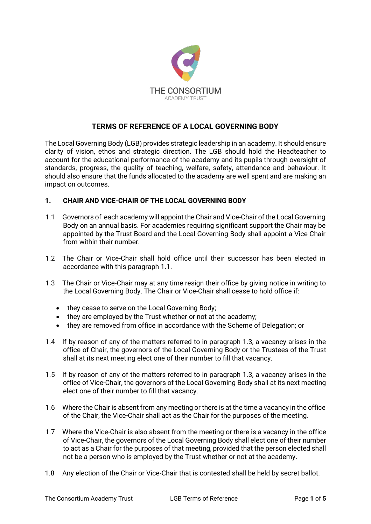

# **TERMS OF REFERENCE OF A LOCAL GOVERNING BODY**

The Local Governing Body (LGB) provides strategic leadership in an academy. It should ensure clarity of vision, ethos and strategic direction. The LGB should hold the Headteacher to account for the educational performance of the academy and its pupils through oversight of standards, progress, the quality of teaching, welfare, safety, attendance and behaviour. It should also ensure that the funds allocated to the academy are well spent and are making an impact on outcomes.

#### **1. CHAIR AND VICE-CHAIR OF THE LOCAL GOVERNING BODY**

- 1.1 Governors of each academy will appoint the Chair and Vice-Chair of the Local Governing Body on an annual basis. For academies requiring significant support the Chair may be appointed by the Trust Board and the Local Governing Body shall appoint a Vice Chair from within their number.
- 1.2 The Chair or Vice-Chair shall hold office until their successor has been elected in accordance with this paragraph 1.1.
- 1.3 The Chair or Vice-Chair may at any time resign their office by giving notice in writing to the Local Governing Body. The Chair or Vice-Chair shall cease to hold office if:
	- they cease to serve on the Local Governing Body;
	- they are employed by the Trust whether or not at the academy;
	- they are removed from office in accordance with the Scheme of Delegation; or
- 1.4 If by reason of any of the matters referred to in paragraph 1.3, a vacancy arises in the office of Chair, the governors of the Local Governing Body or the Trustees of the Trust shall at its next meeting elect one of their number to fill that vacancy.
- 1.5 If by reason of any of the matters referred to in paragraph 1.3, a vacancy arises in the office of Vice-Chair, the governors of the Local Governing Body shall at its next meeting elect one of their number to fill that vacancy.
- 1.6 Where the Chair is absent from any meeting or there is at the time a vacancy in the office of the Chair, the Vice-Chair shall act as the Chair for the purposes of the meeting.
- 1.7 Where the Vice-Chair is also absent from the meeting or there is a vacancy in the office of Vice-Chair, the governors of the Local Governing Body shall elect one of their number to act as a Chair for the purposes of that meeting, provided that the person elected shall not be a person who is employed by the Trust whether or not at the academy.
- 1.8 Any election of the Chair or Vice-Chair that is contested shall be held by secret ballot.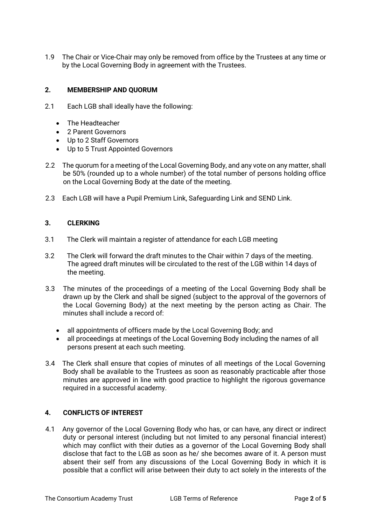1.9 The Chair or Vice-Chair may only be removed from office by the Trustees at any time or by the Local Governing Body in agreement with the Trustees.

## **2. MEMBERSHIP AND QUORUM**

- 2.1 Each LGB shall ideally have the following:
	- The Headteacher
	- 2 Parent Governors
	- Up to 2 Staff Governors
	- Up to 5 Trust Appointed Governors
- 2.2 The quorum for a meeting of the Local Governing Body, and any vote on any matter, shall be 50% (rounded up to a whole number) of the total number of persons holding office on the Local Governing Body at the date of the meeting.
- 2.3 Each LGB will have a Pupil Premium Link, Safeguarding Link and SEND Link.

#### **3. CLERKING**

- 3.1 The Clerk will maintain a register of attendance for each LGB meeting
- 3.2 The Clerk will forward the draft minutes to the Chair within 7 days of the meeting. The agreed draft minutes will be circulated to the rest of the LGB within 14 days of the meeting.
- 3.3 The minutes of the proceedings of a meeting of the Local Governing Body shall be drawn up by the Clerk and shall be signed (subject to the approval of the governors of the Local Governing Body) at the next meeting by the person acting as Chair. The minutes shall include a record of:
	- all appointments of officers made by the Local Governing Body; and
	- all proceedings at meetings of the Local Governing Body including the names of all persons present at each such meeting.
- 3.4 The Clerk shall ensure that copies of minutes of all meetings of the Local Governing Body shall be available to the Trustees as soon as reasonably practicable after those minutes are approved in line with good practice to highlight the rigorous governance required in a successful academy.

## **4. CONFLICTS OF INTEREST**

4.1 Any governor of the Local Governing Body who has, or can have, any direct or indirect duty or personal interest (including but not limited to any personal financial interest) which may conflict with their duties as a governor of the Local Governing Body shall disclose that fact to the LGB as soon as he/ she becomes aware of it. A person must absent their self from any discussions of the Local Governing Body in which it is possible that a conflict will arise between their duty to act solely in the interests of the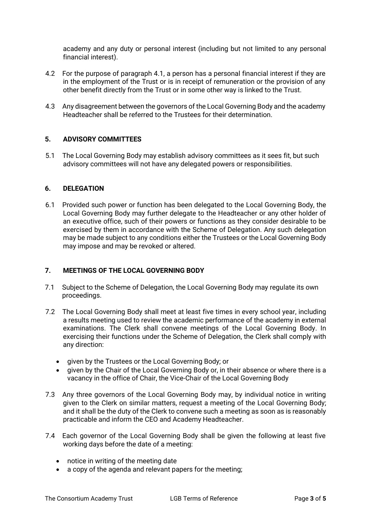academy and any duty or personal interest (including but not limited to any personal financial interest).

- 4.2 For the purpose of paragraph 4.1, a person has a personal financial interest if they are in the employment of the Trust or is in receipt of remuneration or the provision of any other benefit directly from the Trust or in some other way is linked to the Trust.
- 4.3 Any disagreement between the governors of the Local Governing Body and the academy Headteacher shall be referred to the Trustees for their determination.

## **5. ADVISORY COMMITTEES**

5.1 The Local Governing Body may establish advisory committees as it sees fit, but such advisory committees will not have any delegated powers or responsibilities.

#### **6. DELEGATION**

6.1 Provided such power or function has been delegated to the Local Governing Body, the Local Governing Body may further delegate to the Headteacher or any other holder of an executive office, such of their powers or functions as they consider desirable to be exercised by them in accordance with the Scheme of Delegation. Any such delegation may be made subject to any conditions either the Trustees or the Local Governing Body may impose and may be revoked or altered.

## **7. MEETINGS OF THE LOCAL GOVERNING BODY**

- 7.1 Subject to the Scheme of Delegation, the Local Governing Body may regulate its own proceedings.
- 7.2 The Local Governing Body shall meet at least five times in every school year, including a results meeting used to review the academic performance of the academy in external examinations. The Clerk shall convene meetings of the Local Governing Body. In exercising their functions under the Scheme of Delegation, the Clerk shall comply with any direction:
	- given by the Trustees or the Local Governing Body; or
	- given by the Chair of the Local Governing Body or, in their absence or where there is a vacancy in the office of Chair, the Vice-Chair of the Local Governing Body
- 7.3 Any three governors of the Local Governing Body may, by individual notice in writing given to the Clerk on similar matters, request a meeting of the Local Governing Body; and it shall be the duty of the Clerk to convene such a meeting as soon as is reasonably practicable and inform the CEO and Academy Headteacher.
- 7.4 Each governor of the Local Governing Body shall be given the following at least five working days before the date of a meeting:
	- notice in writing of the meeting date
	- a copy of the agenda and relevant papers for the meeting;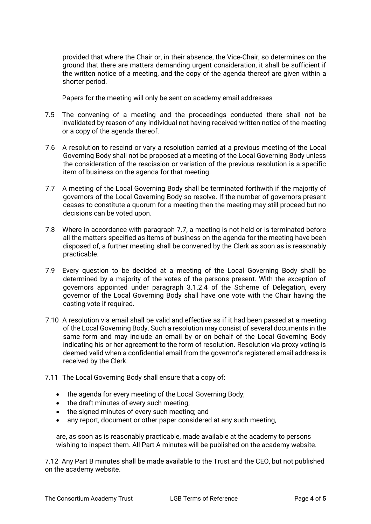provided that where the Chair or, in their absence, the Vice-Chair, so determines on the ground that there are matters demanding urgent consideration, it shall be sufficient if the written notice of a meeting, and the copy of the agenda thereof are given within a shorter period.

Papers for the meeting will only be sent on academy email addresses

- 7.5 The convening of a meeting and the proceedings conducted there shall not be invalidated by reason of any individual not having received written notice of the meeting or a copy of the agenda thereof.
- 7.6 A resolution to rescind or vary a resolution carried at a previous meeting of the Local Governing Body shall not be proposed at a meeting of the Local Governing Body unless the consideration of the rescission or variation of the previous resolution is a specific item of business on the agenda for that meeting.
- 7.7 A meeting of the Local Governing Body shall be terminated forthwith if the majority of governors of the Local Governing Body so resolve. If the number of governors present ceases to constitute a quorum for a meeting then the meeting may still proceed but no decisions can be voted upon.
- 7.8 Where in accordance with paragraph 7.7, a meeting is not held or is terminated before all the matters specified as items of business on the agenda for the meeting have been disposed of, a further meeting shall be convened by the Clerk as soon as is reasonably practicable.
- 7.9 Every question to be decided at a meeting of the Local Governing Body shall be determined by a majority of the votes of the persons present. With the exception of governors appointed under paragraph 3.1.2.4 of the Scheme of Delegation, every governor of the Local Governing Body shall have one vote with the Chair having the casting vote if required.
- 7.10 A resolution via email shall be valid and effective as if it had been passed at a meeting of the Local Governing Body. Such a resolution may consist of several documents in the same form and may include an email by or on behalf of the Local Governing Body indicating his or her agreement to the form of resolution. Resolution via proxy voting is deemed valid when a confidential email from the governor's registered email address is received by the Clerk.
- 7.11 The Local Governing Body shall ensure that a copy of:
	- the agenda for every meeting of the Local Governing Body;
	- the draft minutes of every such meeting;
	- the signed minutes of every such meeting; and
	- any report, document or other paper considered at any such meeting,

are, as soon as is reasonably practicable, made available at the academy to persons wishing to inspect them. All Part A minutes will be published on the academy website.

7.12 Any Part B minutes shall be made available to the Trust and the CEO, but not published on the academy website.